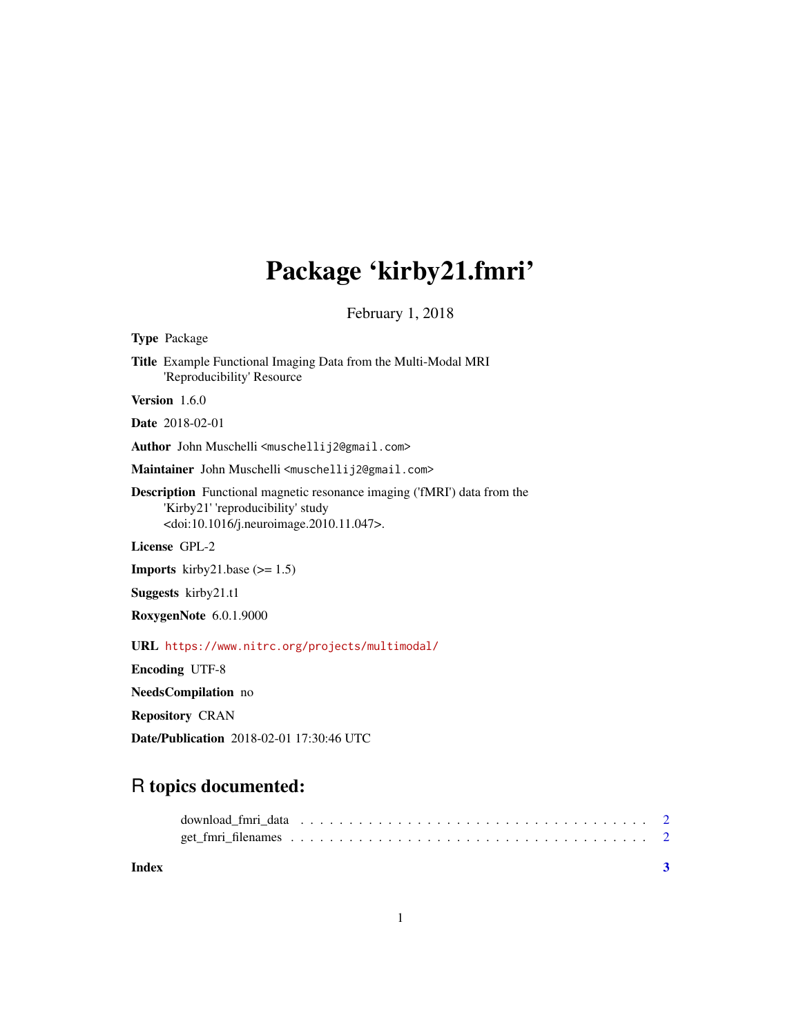## Package 'kirby21.fmri'

February 1, 2018

<span id="page-0-0"></span>Type Package Title Example Functional Imaging Data from the Multi-Modal MRI 'Reproducibility' Resource Version 1.6.0 Date 2018-02-01 Author John Muschelli<muschellij2@gmail.com> Maintainer John Muschelli <muschellij2@gmail.com> Description Functional magnetic resonance imaging ('fMRI') data from the 'Kirby21' 'reproducibility' study <doi:10.1016/j.neuroimage.2010.11.047>. License GPL-2 **Imports** kirby21.base  $(>= 1.5)$ Suggests kirby21.t1 RoxygenNote 6.0.1.9000 URL <https://www.nitrc.org/projects/multimodal/> Encoding UTF-8 NeedsCompilation no Repository CRAN Date/Publication 2018-02-01 17:30:46 UTC

### R topics documented:

| Index |  |
|-------|--|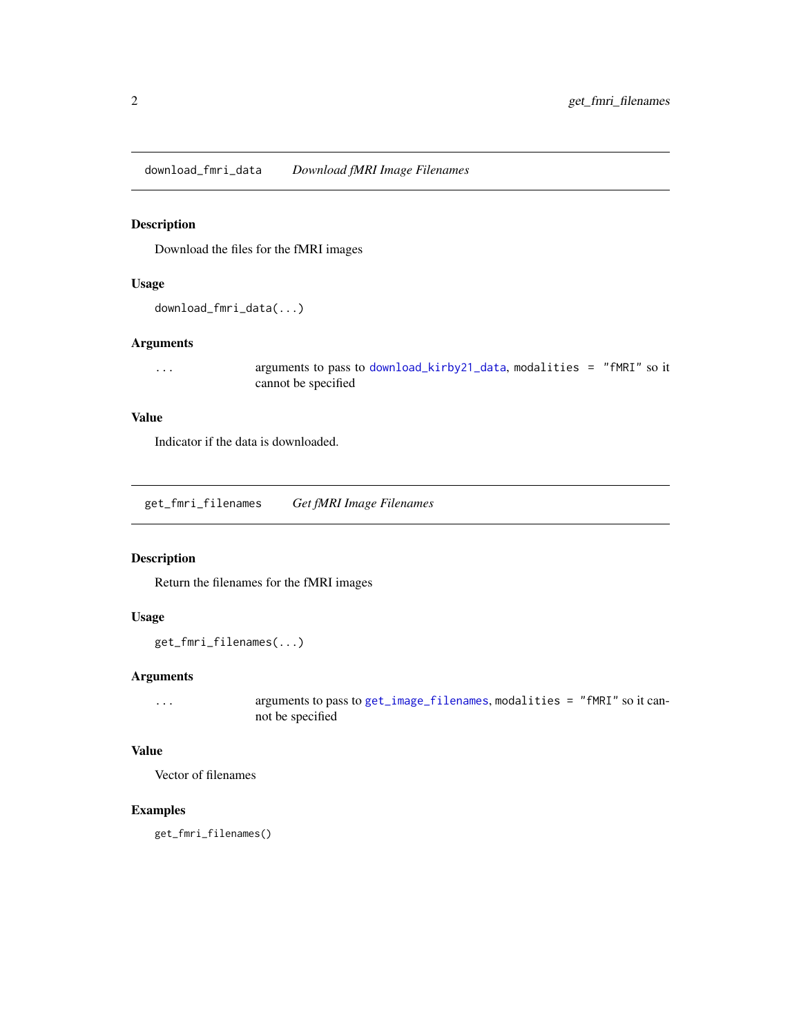<span id="page-1-0"></span>download\_fmri\_data *Download fMRI Image Filenames*

#### Description

Download the files for the fMRI images

#### Usage

```
download_fmri_data(...)
```
#### Arguments

... arguments to pass to [download\\_kirby21\\_data](#page-0-0), modalities = "fMRI" so it cannot be specified

#### Value

Indicator if the data is downloaded.

get\_fmri\_filenames *Get fMRI Image Filenames*

#### Description

Return the filenames for the fMRI images

#### Usage

```
get_fmri_filenames(...)
```
#### Arguments

... arguments to pass to [get\\_image\\_filenames](#page-0-0), modalities = "fMRI" so it cannot be specified

#### Value

Vector of filenames

#### Examples

get\_fmri\_filenames()